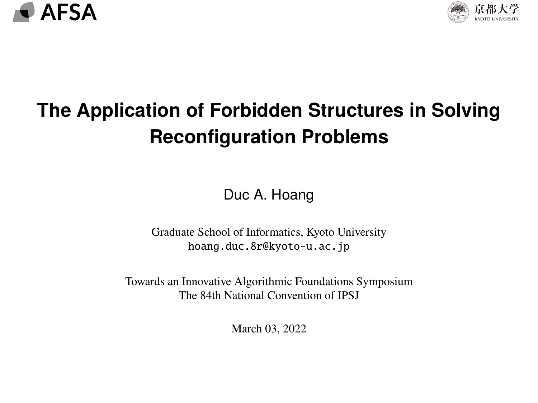<span id="page-0-0"></span>



## **The Application of Forbidden Structures in Solving Reconfiguration Problems**

Duc A. Hoang

Graduate School of Informatics, Kyoto University [hoang.duc.8r@kyoto-u.ac.jp](mailto:hoang.duc.8r@kyoto-u.ac.jp)

Towards an Innovative Algorithmic Foundations Symposium The 84th National Convention of IPSJ

March 03, 2022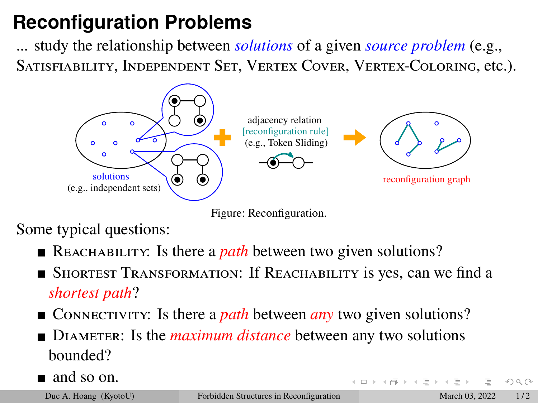## **Reconfiguration Problems**

... study the relationship between *solutions* of a given *source problem* (e.g., Satisfiability, Independent Set, Vertex Cover, Vertex-Coloring, etc.).





Some typical questions:

- REACHABILITY: Is there a *path* between two given solutions?
- Shortest Transformation: If Reachability is yes, can we find a *shortest path*?
- Connectivity: Is there a *path* between *any* two given solutions?
- DIAMETER: Is the *maximum distance* between any two solutions bounded?
- $\blacksquare$  and so on.

 $OQ$